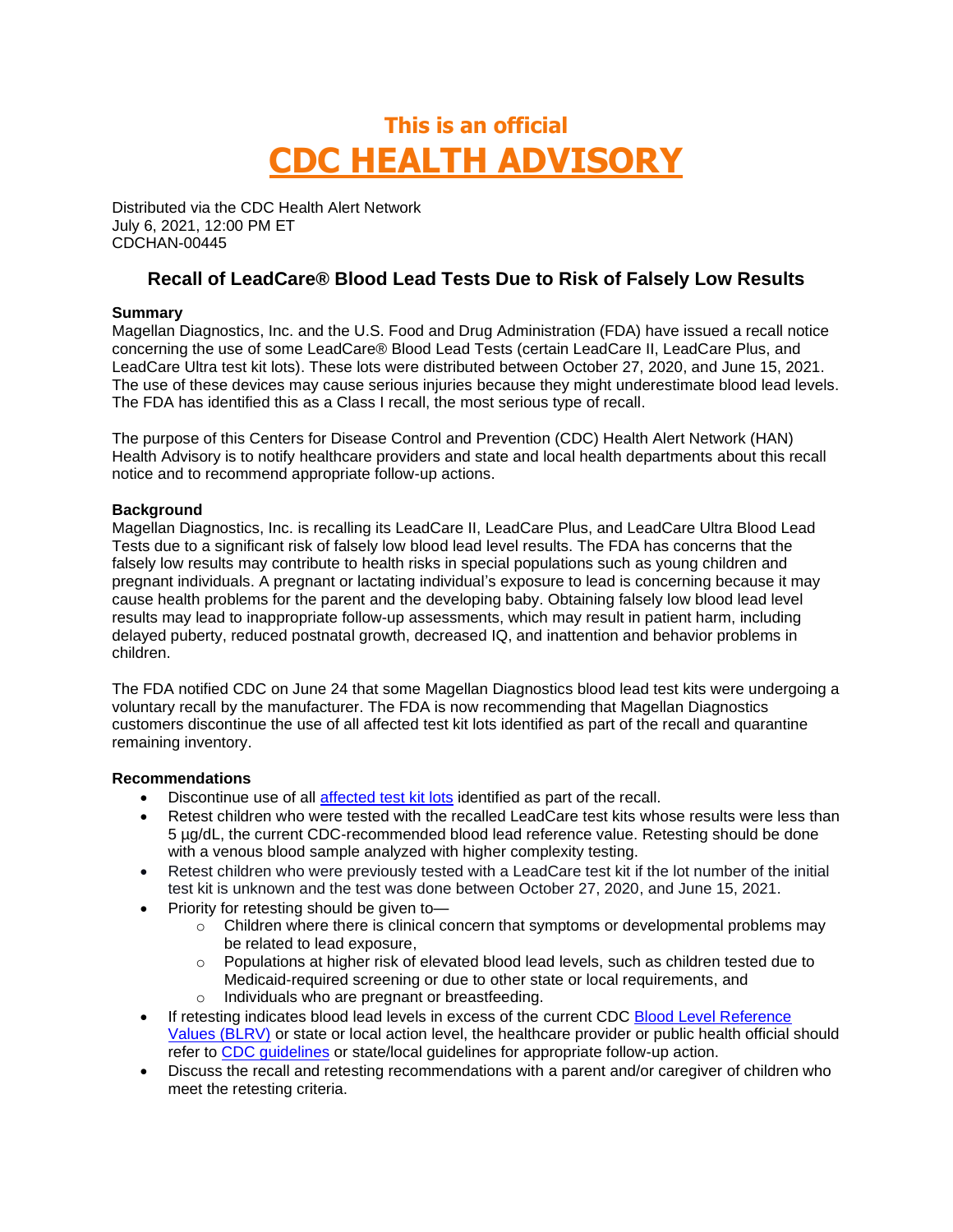# **This is an official CDC HEALTH ADVISORY**

Distributed via the CDC Health Alert Network July 6, 2021, 12:00 PM ET CDCHAN-00445

## **Recall of LeadCare® Blood Lead Tests Due to Risk of Falsely Low Results**

#### **Summary**

Magellan Diagnostics, Inc. and the U.S. Food and Drug Administration (FDA) have issued a recall notice concerning the use of some LeadCare® Blood Lead Tests (certain LeadCare II, LeadCare Plus, and LeadCare Ultra test kit lots). These lots were distributed between October 27, 2020, and June 15, 2021. The use of these devices may cause serious injuries because they might underestimate blood lead levels. The FDA has identified this as a Class I recall, the most serious type of recall.

The purpose of this Centers for Disease Control and Prevention (CDC) Health Alert Network (HAN) Health Advisory is to notify healthcare providers and state and local health departments about this recall notice and to recommend appropriate follow-up actions.

#### **Background**

Magellan Diagnostics, Inc. is recalling its LeadCare II, LeadCare Plus, and LeadCare Ultra Blood Lead Tests due to a significant risk of falsely low blood lead level results. The FDA has concerns that the falsely low results may contribute to health risks in special populations such as young children and pregnant individuals. A pregnant or lactating individual's exposure to lead is concerning because it may cause health problems for the parent and the developing baby. Obtaining falsely low blood lead level results may lead to inappropriate follow-up assessments, which may result in patient harm, including delayed puberty, reduced postnatal growth, decreased IQ, and inattention and behavior problems in children.

The FDA notified CDC on June 24 that some Magellan Diagnostics blood lead test kits were undergoing a voluntary recall by the manufacturer. The FDA is now recommending that Magellan Diagnostics customers discontinue the use of all affected test kit lots identified as part of the recall and quarantine remaining inventory.

#### **Recommendations**

- Discontinue use of all [affected test kit lots](https://www.fda.gov/medical-devices/medical-device-recalls/magellan-diagnostics-recalls-leadcare-ii-leadcare-plus-and-leadcare-ultra-blood-lead-tests-due-risk) identified as part of the recall.
- Retest children who were tested with the recalled LeadCare test kits whose results were less than 5 µg/dL, the current CDC-recommended blood lead reference value. Retesting should be done with a venous blood sample analyzed with higher complexity testing.
- Retest children who were previously tested with a LeadCare test kit if the lot number of the initial test kit is unknown and the test was done between October 27, 2020, and June 15, 2021.
- Priority for retesting should be given to-
	- $\circ$  Children where there is clinical concern that symptoms or developmental problems may be related to lead exposure,
	- $\circ$  Populations at higher risk of elevated blood lead levels, such as children tested due to Medicaid-required screening or due to other state or local requirements, and
	- o Individuals who are pregnant or breastfeeding.
- If retesting indicates blood lead levels in excess of the current CDC Blood Level Reference [Values \(BLRV\)](http://www.cdc.gov/nceh/lead/acclpp/blood_lead_levels.htm) or state or local action level, the healthcare provider or public health official should refer to [CDC guidelines](https://www.cdc.gov/nceh/lead/advisory/acclpp/actions-blls.htm) or state/local guidelines for appropriate follow-up action.
- Discuss the recall and retesting recommendations with a parent and/or caregiver of children who meet the retesting criteria.